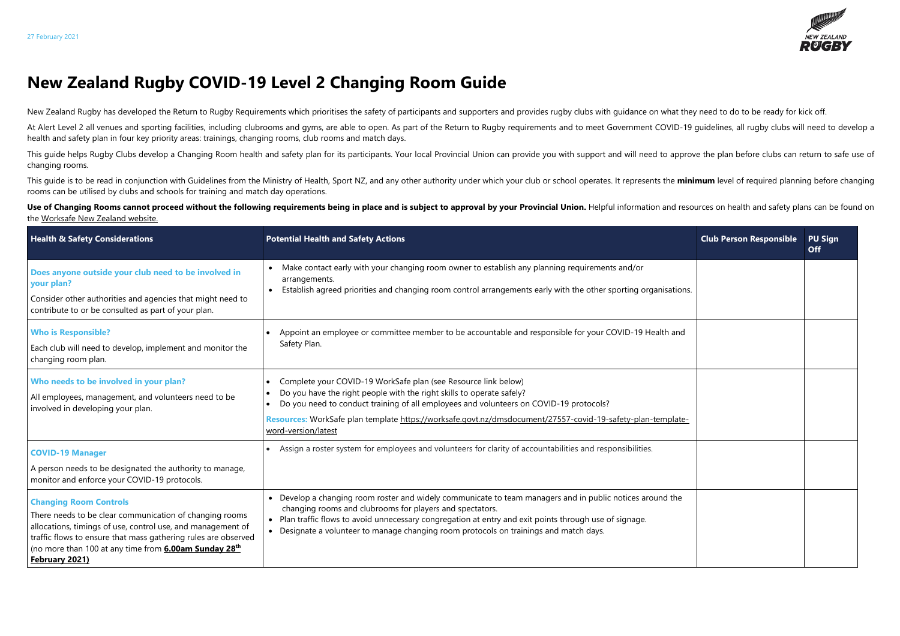## **New Zealand Rugby COVID-19 Level 2 Changing Room Guide**

New Zealand Rugby has developed the Return to Rugby Requirements which prioritises the safety of participants and supporters and provides rugby clubs with guidance on what they need to do to be ready for kick off.

At Alert Level 2 all venues and sporting facilities, including clubrooms and gyms, are able to open. As part of the Return to Rugby requirements and to meet Government COVID-19 quidelines, all rugby clubs will need to deve health and safety plan in four key priority areas: trainings, changing rooms, club rooms and match days.

This quide helps Rugby Clubs develop a Changing Room health and safety plan for its participants. Your local Provincial Union can provide you with support and will need to approve the plan before clubs can return to safe u changing rooms.

This quide is to be read in conjunction with Guidelines from the Ministry of Health, Sport NZ, and any other authority under which your club or school operates. It represents the minimum level of required planning before c rooms can be utilised by clubs and schools for training and match day operations.

Use of Changing Rooms cannot proceed without the following requirements being in place and is subject to approval by your Provincial Union. Helpful information and resources on health and safety plans can be found on the [Worksafe New Zealand website.](https://worksafe.govt.nz/managing-health-and-safety/novel-coronavirus-covid/operating-safely-at-alert-level-2-what-you-need-to-think-about/)

| <b>Health &amp; Safety Considerations</b>                                                                                                                                                                                                                                                                   | <b>Potential Health and Safety Actions</b>                                                                                                                                                                                                                                                                                                                                 | <b>Club Person Responsible</b> | <b>PU Sign</b><br><b>Off</b> |
|-------------------------------------------------------------------------------------------------------------------------------------------------------------------------------------------------------------------------------------------------------------------------------------------------------------|----------------------------------------------------------------------------------------------------------------------------------------------------------------------------------------------------------------------------------------------------------------------------------------------------------------------------------------------------------------------------|--------------------------------|------------------------------|
| Does anyone outside your club need to be involved in<br>your plan?<br>Consider other authorities and agencies that might need to<br>contribute to or be consulted as part of your plan.                                                                                                                     | Make contact early with your changing room owner to establish any planning requirements and/or<br>arrangements.<br>Establish agreed priorities and changing room control arrangements early with the other sporting organisations.                                                                                                                                         |                                |                              |
| <b>Who is Responsible?</b><br>Each club will need to develop, implement and monitor the<br>changing room plan.                                                                                                                                                                                              | Appoint an employee or committee member to be accountable and responsible for your COVID-19 Health and<br>Safety Plan.                                                                                                                                                                                                                                                     |                                |                              |
| Who needs to be involved in your plan?<br>All employees, management, and volunteers need to be<br>involved in developing your plan.                                                                                                                                                                         | Complete your COVID-19 WorkSafe plan (see Resource link below)<br>Do you have the right people with the right skills to operate safely?<br>Do you need to conduct training of all employees and volunteers on COVID-19 protocols?<br>Resources: WorkSafe plan template https://worksafe.govt.nz/dmsdocument/27557-covid-19-safety-plan-template-<br>word-version/latest    |                                |                              |
| <b>COVID-19 Manager</b><br>A person needs to be designated the authority to manage,<br>monitor and enforce your COVID-19 protocols.                                                                                                                                                                         | Assign a roster system for employees and volunteers for clarity of accountabilities and responsibilities.                                                                                                                                                                                                                                                                  |                                |                              |
| <b>Changing Room Controls</b><br>There needs to be clear communication of changing rooms<br>allocations, timings of use, control use, and management of<br>traffic flows to ensure that mass gathering rules are observed<br>(no more than 100 at any time from <b>6.00am Sunday 28th</b><br>February 2021) | • Develop a changing room roster and widely communicate to team managers and in public notices around the<br>changing rooms and clubrooms for players and spectators.<br>• Plan traffic flows to avoid unnecessary congregation at entry and exit points through use of signage.<br>• Designate a volunteer to manage changing room protocols on trainings and match days. |                                |                              |